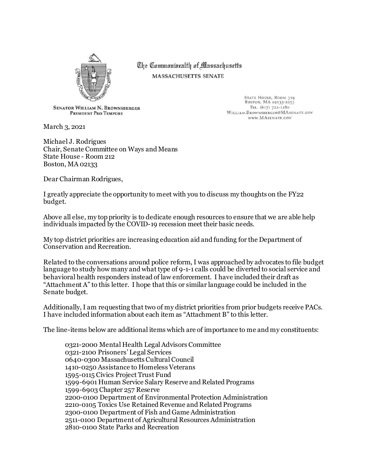

The Commonwealth of Massachusetts **MASSACHUSETTS SENATE** 

> STATE HOUSE, ROOM 319<br>BOSTON, MA 02133-1053 TEL. (617) 722-1280

WILLIAM.BROWNSBERGER@MASENATE.GOV

WWW.MASENATE.COV

**SENATOR WILLIAM N. BROWNSBERGER** PRESIDENT PRO TEMPORE

March 3, 2021

Michael J. Rodrigues Chair, Senate Committee on Ways and Means State House - Room 212 Boston, MA 02133

Dear Chairman Rodrigues,

I greatly appreciate the opportunity to meet with you to discuss my thoughts on the FY22 budget.

Above all else, my top priority is to dedicate enough resources to ensure that we are able help individuals impacted by the COVID-19 recession meet their basic needs.

My top district priorities are increasing education aid and funding for the Department of Conservation and Recreation.

Related to the conversations around police reform, I was approached by advocates to file budget language to study how many and what type of 9-1-1 calls could be diverted to social service and behavioral health responders instead of law enforcement. I have included their draft as "Attachment A" to this letter. I hope that this or similar language could be included in the Senate budget.

Additionally, I am requesting that two of my district priorities from prior budgets receive PACs. I have included information about each item as "Attachment B" to this letter.

The line-items below are additional items which are of importance to me and my constituents:

0321-2000 Mental Health Legal Advisors Committee 0321-2100 Prisoners' Legal Services 0640-0300 Massachusetts Cultural Council 1410-0250 Assistance to Homeless Veterans 1595-0115 Civics Project Trust Fund 1599-6901 Human Service Salary Reserve and Related Programs 1599-6903 Chapter 257 Reserve 2200-0100 Department of Environmental Protection Administration 2210-0105 Toxics Use Retained Revenue and Related Programs 2300-0100 Department of Fish and Game Administration 2511-0100 Department of Agricultural Resources Administration 2810-0100 State Parks and Recreation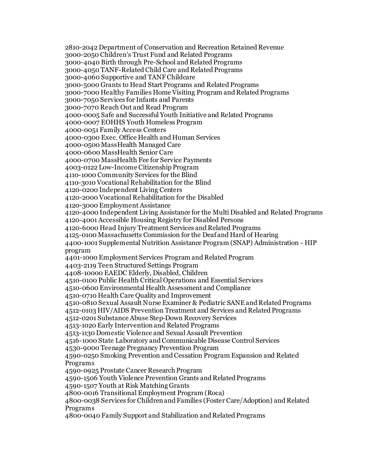2810-2042 Department of Conservation and Recreation Retained Revenue 3000-2050 Children's Trust Fund and Related Programs 3000-4040 Birth through Pre-School and Related Programs 3000-4050 TANF-Related Child Care and Related Programs 3000-4060 Supportive and TANF Childcare 3000-5000 Grants to Head Start Programs and Related Programs 3000-7000 Healthy Families Home Visiting Program and Related Programs 3000-7050 Services for Infants and Parents 3000-7070 Reach Out and Read Program 4000-0005 Safe and Successful Youth Initiative and Related Programs 4000-0007 EOHHS Youth Homeless Program 4000-0051 Family Access Centers 4000-0300 Exec. Office Health and Human Services 4000-0500 MassHealth Managed Care 4000-0600 MassHealth Senior Care 4000-0700 MassHealth Fee for Service Payments 4003-0122 Low-Income Citizenship Program 4110-1000 Community Services for the Blind 4110-3010 Vocational Rehabilitation for the Blind 4120-0200 Independent Living Centers 4120-2000 Vocational Rehabilitation for the Disabled 4120-3000 Employment Assistance 4120-4000 Independent Living Assistance for the Multi Disabled and Related Programs 4120-4001 Accessible Housing Registry for Disabled Persons 4120-6000 Head Injury Treatment Services and Related Programs 4125-0100 Massachusetts Commission for the Deaf and Hard of Hearing 4400-1001 Supplemental Nutrition Assistance Program (SNAP) Administration - HIP program 4401-1000 Employment Services Program and Related Program 4403-2119 Teen Structured Settings Program 4408-10000 EAEDC Elderly, Disabled, Children 4510-0100 Public Health Critical Operations and Essential Services 4510-0600 Environmental Health Assessment and Compliance 4510-0710 Health Care Quality and Improvement 4510-0810 Sexual Assault Nurse Examiner & Pediatric SANE and Related Programs 4512-0103 HIV/AIDS Prevention Treatment and Services and Related Programs 4512-0201 Substance Abuse Step-Down Recovery Services 4513-1020 Early Intervention and Related Programs 4513-1130 Domestic Violence and Sexual Assault Prevention 4516-1000 State Laboratory and Communicable Disease Control Services 4530-9000 Teenage Pregnancy Prevention Program 4590-0250 Smoking Prevention and Cessation Program Expansion and Related Programs 4590-0925 Prostate Cancer Research Program 4590-1506 Youth Violence Prevention Grants and Related Programs 4590-1507 Youth at Risk Matching Grants 4800-0016 Transitional Employment Program (Roca) 4800-0038 Services for Children and Families (Foster Care/Adoption) and Related Programs 4800-0040 Family Support and Stabilization and Related Programs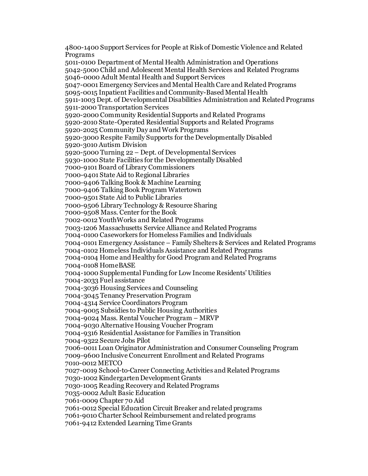4800-1400 Support Services for People at Risk of Domestic Violence and Related Programs 5011-0100 Department of Mental Health Administration and Operations 5042-5000 Child and Adolescent Mental Health Services and Related Programs 5046-0000 Adult Mental Health and Support Services 5047-0001 Emergency Services and Mental Health Care and Related Programs 5095-0015 Inpatient Facilities and Community-Based Mental Health 5911-1003 Dept. of Developmental Disabilities Administration and Related Programs 5911-2000 Transportation Services 5920-2000 Community Residential Supports and Related Programs 5920-2010 State-Operated Residential Supports and Related Programs 5920-2025 Community Day and Work Programs 5920-3000 Respite Family Supports for the Developmentally Disabled 5920-3010 Autism Division 5920-5000 Turning 22 – Dept. of Developmental Services 5930-1000 State Facilities for the Developmentally Disabled 7000-9101 Board of Library Commissioners 7000-9401 State Aid to Regional Libraries 7000-9406 Talking Book & Machine Learning 7000-9406 Talking Book Program Watertown 7000-9501 State Aid to Public Libraries 7000-9506 Library Technology & Resource Sharing 7000-9508 Mass. Center for the Book 7002-0012 YouthWorks and Related Programs 7003-1206 Massachusetts Service Alliance and Related Programs 7004-0100 Caseworkers for Homeless Families and Individuals 7004-0101 Emergency Assistance – Family Shelters & Services and Related Programs 7004-0102 Homeless Individuals Assistance and Related Programs 7004-0104 Home and Healthy for Good Program and Related Programs 7004-0108 HomeBASE 7004-1000 Supplemental Funding for Low Income Residents' Utilities 7004-2033 Fuel assistance 7004-3036 Housing Services and Counseling 7004-3045 Tenancy Preservation Program 7004-4314 Service Coordinators Program 7004-9005 Subsidies to Public Housing Authorities 7004-9024 Mass. Rental Voucher Program – MRVP 7004-9030 Alternative Housing Voucher Program 7004-9316 Residential Assistance for Families in Transition 7004-9322 Secure Jobs Pilot 7006-0011 Loan Originator Administration and Consumer Counseling Program 7009-9600 Inclusive Concurrent Enrollment and Related Programs 7010-0012 METCO 7027-0019 School-to-Career Connecting Activities and Related Programs 7030-1002 Kindergarten Development Grants 7030-1005 Reading Recovery and Related Programs 7035-0002 Adult Basic Education 7061-0009 Chapter 70 Aid 7061-0012 Special Education Circuit Breaker and related programs 7061-9010 Charter School Reimbursement and related programs 7061-9412 Extended Learning Time Grants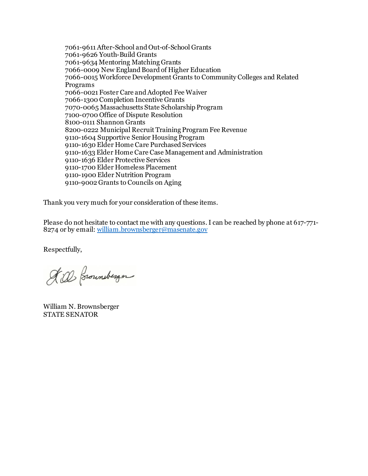7061-9611 After-School and Out-of-School Grants 7061-9626 Youth-Build Grants 7061-9634 Mentoring Matching Grants 7066-0009 New England Board of Higher Education 7066-0015 Workforce Development Grants to Community Colleges and Related Programs 7066-0021 Foster Care and Adopted Fee Waiver 7066-1300 Completion Incentive Grants 7070-0065 Massachusetts State Scholarship Program 7100-0700 Office of Dispute Resolution 8100-0111 Shannon Grants 8200-0222 Municipal Recruit Training Program Fee Revenue 9110-1604 Supportive Senior Housing Program 9110-1630 Elder Home Care Purchased Services 9110-1633 Elder Home Care Case Management and Administration 9110-1636 Elder Protective Services 9110-1700 Elder Homeless Placement 9110-1900 Elder Nutrition Program 9110-9002 Grants to Councils on Aging

Thank you very much for your consideration of these items.

Please do not hesitate to contact me with any questions. I can be reached by phone at 617-771- 8274 or by email: william.brownsberger@masenate.gov

Respectfully,

A. al Brounderger

William N. Brownsberger STATE SENATOR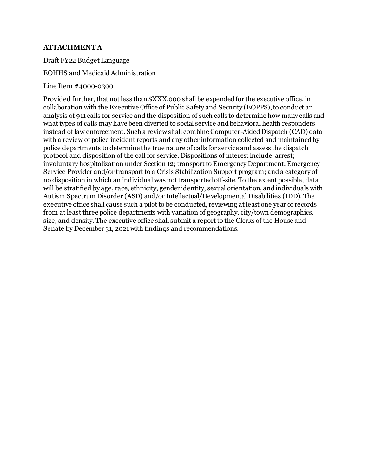# **ATTACHMENT A**

Draft FY22 Budget Language

### EOHHS and Medicaid Administration

Line Item #4000-0300

Provided further, that not less than \$XXX,000 shall be expended for the executive office, in collaboration with the Executive Office of Public Safety and Security (EOPPS), to conduct an analysis of 911 calls for service and the disposition of such calls to determine how many calls and what types of calls may have been diverted to social service and behavioral health responders instead of law enforcement. Such a review shall combine Computer-Aided Dispatch (CAD) data with a review of police incident reports and any other information collected and maintained by police departments to determine the true nature of calls for service and assess the dispatch protocol and disposition of the call for service. Dispositions of interest include: arrest; involuntary hospitalization under Section 12; transport to Emergency Department; Emergency Service Provider and/or transport to a Crisis Stabilization Support program; and a category of no disposition in which an individual was not transported off-site. To the extent possible, data will be stratified by age, race, ethnicity, gender identity, sexual orientation, and individuals with Autism Spectrum Disorder (ASD) and/or Intellectual/Developmental Disabilities (IDD). The executive office shall cause such a pilot to be conducted, reviewing at least one year of records from at least three police departments with variation of geography, city/town demographics, size, and density. The executive office shall submit a report to the Clerks of the House and Senate by December 31, 2021 with findings and recommendations.